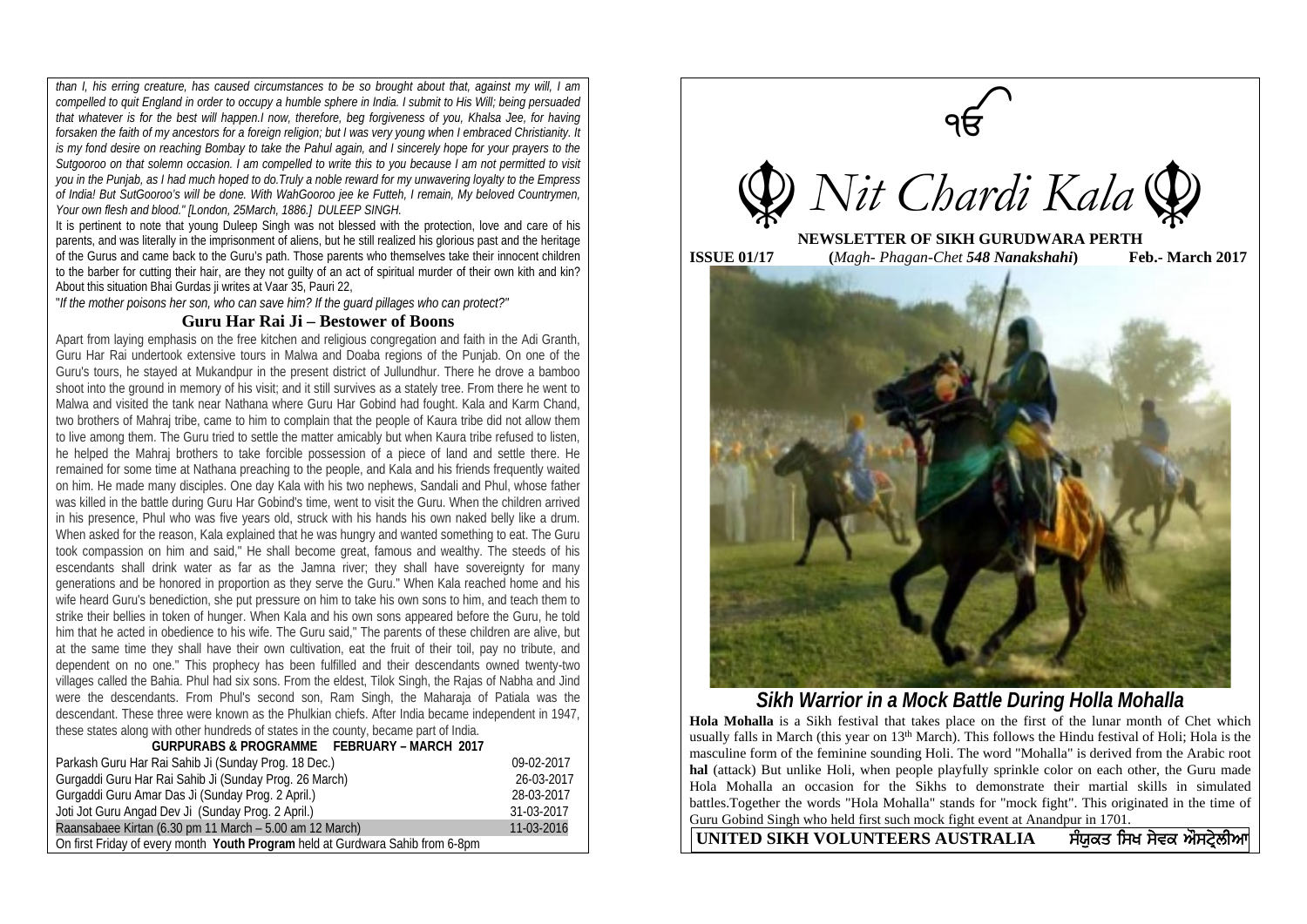*than I, his erring creature, has caused circumstances to be so brought about that, against my will, I am compelled to quit England in order to occupy a humble sphere in India. I submit to His Will; being persuaded that whatever is for the best will happen.I now, therefore, beg forgiveness of you, Khalsa Jee, for having*  forsaken the faith of my ancestors for a foreign religion; but I was very young when I embraced Christianity. It *is my fond desire on reaching Bombay to take the Pahul again, and I sincerely hope for your prayers to the Sutgooroo on that solemn occasion. I am compelled to write this to you because I am not permitted to visit you in the Punjab, as I had much hoped to do.Truly a noble reward for my unwavering loyalty to the Empress of India! But SutGooroo's will be done. With WahGooroo jee ke Futteh, I remain, My beloved Countrymen, Your own flesh and blood." [London, 25March, 1886.] DULEEP SINGH.* 

It is pertinent to note that young Duleep Singh was not blessed with the protection, love and care of his parents, and was literally in the imprisonment of aliens, but he still realized his glorious past and the heritage of the Gurus and came back to the Guru's path. Those parents who themselves take their innocent children to the barber for cutting their hair, are they not guilty of an act of spiritual murder of their own kith and kin? About this situation Bhai Gurdas ji writes at Vaar 35, Pauri 22,

"*If the mother poisons her son, who can save him? If the guard pillages who can protect?"*

## **Guru Har Rai Ji – Bestower of Boons**

Apart from laying emphasis on the free kitchen and religious congregation and faith in the Adi Granth, Guru Har Rai undertook extensive tours in Malwa and Doaba regions of the Punjab. On one of the Guru's tours, he stayed at Mukandpur in the present district of Jullundhur. There he drove a bamboo shoot into the ground in memory of his visit; and it still survives as a stately tree. From there he went to Malwa and visited the tank near Nathana where Guru Har Gobind had fought. Kala and Karm Chand, two brothers of Mahraj tribe, came to him to complain that the people of Kaura tribe did not allow them to live among them. The Guru tried to settle the matter amicably but when Kaura tribe refused to listen, he helped the Mahraj brothers to take forcible possession of a piece of land and settle there. He remained for some time at Nathana preaching to the people, and Kala and his friends frequently waited on him. He made many disciples. One day Kala with his two nephews, Sandali and Phul, whose father was killed in the battle during Guru Har Gobind's time, went to visit the Guru. When the children arrived in his presence, Phul who was five years old, struck with his hands his own naked belly like a drum. When asked for the reason, Kala explained that he was hungry and wanted something to eat. The Guru took compassion on him and said," He shall become great, famous and wealthy. The steeds of his escendants shall drink water as far as the Jamna river; they shall have sovereignty for many generations and be honored in proportion as they serve the Guru." When Kala reached home and his wife heard Guru's benediction, she put pressure on him to take his own sons to him, and teach them to strike their bellies in token of hunger. When Kala and his own sons appeared before the Guru, he told him that he acted in obedience to his wife. The Guru said," The parents of these children are alive, but at the same time they shall have their own cultivation, eat the fruit of their toil, pay no tribute, and dependent on no one." This prophecy has been fulfilled and their descendants owned twenty-two villages called the Bahia. Phul had six sons. From the eldest, Tilok Singh, the Rajas of Nabha and Jind were the descendants. From Phul's second son, Ram Singh, the Maharaja of Patiala was the descendant. These three were known as the Phulkian chiefs. After India became independent in 1947, these states along with other hundreds of states in the county, became part of India.

#### **GURPURABS & PROGRAMME FEBRUARY – MARCH 2017**

| Parkash Guru Har Rai Sahib Ji (Sunday Prog. 18 Dec.)                           | 09-02-2017 |
|--------------------------------------------------------------------------------|------------|
| Gurgaddi Guru Har Rai Sahib Ji (Sunday Prog. 26 March)                         | 26-03-2017 |
| Gurgaddi Guru Amar Das Ji (Sunday Prog. 2 April.)                              | 28-03-2017 |
| Joti Jot Guru Angad Dev Ji (Sunday Prog. 2 April.)                             | 31-03-2017 |
| Raansabaee Kirtan (6.30 pm 11 March – 5.00 am 12 March)                        | 11-03-2016 |
| On first Friday of every month Youth Program held at Gurdwara Sahib from 6-8pm |            |



# *Sikh Warrior in a Mock Battle During Holla Mohalla*

**Hola Mohalla** is a Sikh festival that takes place on the first of the lunar month of [Chet](http://www.sikhiwiki.org/index.php?title=Chet) which usually falls in March (this year on 13<sup>th</sup> March). This follows the Hindu festival of Holi; Hola is the masculine form of the feminine sounding Holi. The word "Mohalla" is derived from the Arabic root **hal** (attack) But unlike Holi, when people playfully sprinkle color on each other, the Guru made Hola Mohalla an occasion for the Sikhs to demonstrate their martial skills in simulated battles.Together the words "Hola Mohalla" stands for "mock fight". This originated in the time of [Guru Gobind Singh](http://www.sikhiwiki.org/index.php?title=Guru_Gobind_Singh) who held first such mock fight event at [Anandpur](http://www.sikhiwiki.org/index.php?title=Anandpur) in 1701.

 $\overline{UNITED SIKH VOLUNTEERS AUSTRALIA$  ਸੰਯੁਕਤ ਸਿਖ ਸੇਵਕ ਔਸਟ੍ਰੇਲੀਅ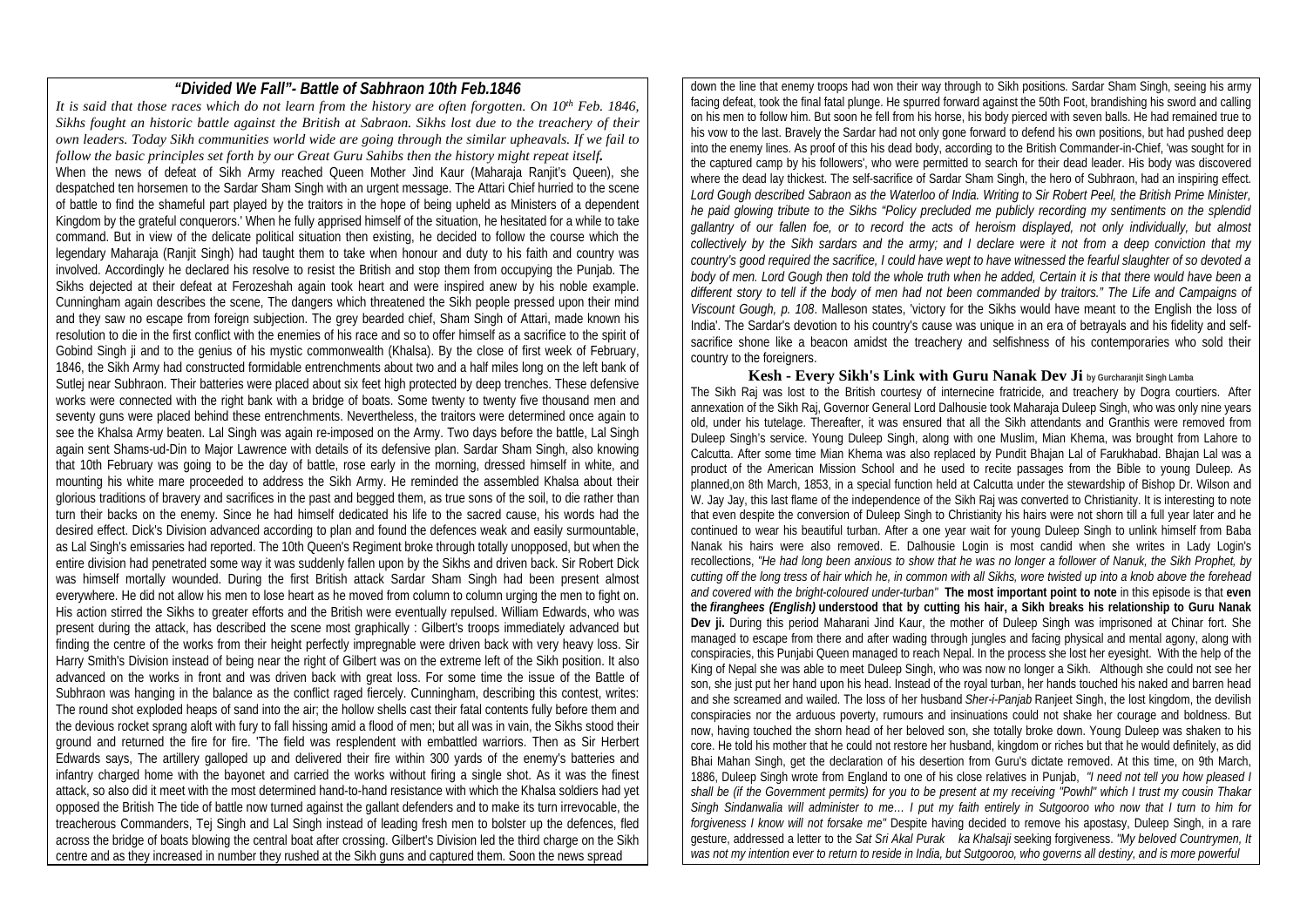# *"Divided We Fall"- Battle of Sabhraon 10th Feb.1846*

*It is said that those races which do not learn from the history are often forgotten. On 10<sup>th</sup> Feb. 1846, Sikhs fought an historic battle against the British at Sabraon. Sikhs lost due to the treachery of their own leaders. Today Sikh communities world wide are going through the similar upheavals. If we fail to follow the basic principles set forth by our Great Guru Sahibs then the history might repeat itself.* When the news of defeat of Sikh Army reached Queen Mother Jind Kaur (Maharaja Ranjit's Queen), she despatched ten horsemen to the Sardar Sham Singh with an urgent message. The Attari Chief hurried to the scene of battle to find the shameful part played by the traitors in the hope of being upheld as Ministers of a dependent Kingdom by the grateful conquerors.' When he fully apprised himself of the situation, he hesitated for a while to take command. But in view of the delicate political situation then existing, he decided to follow the course which the legendary Maharaja (Ranjit Singh) had taught them to take when honour and duty to his faith and country was involved. Accordingly he declared his resolve to resist the British and stop them from occupying the Punjab. The Sikhs dejected at their defeat at Ferozeshah again took heart and were inspired anew by his noble example. Cunningham again describes the scene, The dangers which threatened the Sikh people pressed upon their mind and they saw no escape from foreign subjection. The grey bearded chief, Sham Singh of Attari, made known his resolution to die in the first conflict with the enemies of his race and so to offer himself as a sacrifice to the spirit of Gobind Singh ji and to the genius of his mystic commonwealth (Khalsa). By the close of first week of February, 1846, the Sikh Army had constructed formidable entrenchments about two and a half miles long on the left bank of Sutlej near Subhraon. Their batteries were placed about six feet high protected by deep trenches. These defensive works were connected with the right bank with a bridge of boats. Some twenty to twenty five thousand men and seventy guns were placed behind these entrenchments. Nevertheless, the traitors were determined once again to see the Khalsa Army beaten. Lal Singh was again re-imposed on the Army. Two days before the battle, Lal Singh again sent Shams-ud-Din to Major Lawrence with details of its defensive plan. Sardar Sham Singh, also knowing that 10th February was going to be the day of battle, rose early in the morning, dressed himself in white, and mounting his white mare proceeded to address the Sikh Army. He reminded the assembled Khalsa about their glorious traditions of bravery and sacrifices in the past and begged them, as true sons of the soil, to die rather than turn their backs on the enemy. Since he had himself dedicated his life to the sacred cause, his words had the desired effect. Dick's Division advanced according to plan and found the defences weak and easily surmountable, as Lal Singh's emissaries had reported. The 10th Queen's Regiment broke through totally unopposed, but when the entire division had penetrated some way it was suddenly fallen upon by the Sikhs and driven back. Sir Robert Dick was himself mortally wounded. During the first British attack Sardar Sham Singh had been present almost everywhere. He did not allow his men to lose heart as he moved from column to column urging the men to fight on. His action stirred the Sikhs to greater efforts and the British were eventually repulsed. William Edwards, who was present during the attack, has described the scene most graphically : Gilbert's troops immediately advanced but finding the centre of the works from their height perfectly impregnable were driven back with very heavy loss. Sir Harry Smith's Division instead of being near the right of Gilbert was on the extreme left of the Sikh position. It also advanced on the works in front and was driven back with great loss. For some time the issue of the Battle of Subhraon was hanging in the balance as the conflict raged fiercely. Cunningham, describing this contest, writes: The round shot exploded heaps of sand into the air; the hollow shells cast their fatal contents fully before them and the devious rocket sprang aloft with fury to fall hissing amid a flood of men; but all was in vain, the Sikhs stood their ground and returned the fire for fire. 'The field was resplendent with embattled warriors. Then as Sir Herbert Edwards says, The artillery galloped up and delivered their fire within 300 yards of the enemy's batteries and infantry charged home with the bayonet and carried the works without firing a single shot. As it was the finest attack, so also did it meet with the most determined hand-to-hand resistance with which the Khalsa soldiers had yet opposed the British The tide of battle now turned against the gallant defenders and to make its turn irrevocable, the treacherous Commanders, Tej Singh and Lal Singh instead of leading fresh men to bolster up the defences, fled across the bridge of boats blowing the central boat after crossing. Gilbert's Division led the third charge on the Sikh centre and as they increased in number they rushed at the Sikh guns and captured them. Soon the news spread

down the line that enemy troops had won their way through to Sikh positions. Sardar Sham Singh, seeing his army facing defeat, took the final fatal plunge. He spurred forward against the 50th Foot, brandishing his sword and calling on his men to follow him. But soon he fell from his horse, his body pierced with seven balls. He had remained true to his vow to the last. Bravely the Sardar had not only gone forward to defend his own positions, but had pushed deep into the enemy lines. As proof of this his dead body, according to the British Commander-in-Chief, 'was sought for in the captured camp by his followers', who were permitted to search for their dead leader. His body was discovered where the dead lay thickest. The self-sacrifice of Sardar Sham Singh, the hero of Subhraon, had an inspiring effect. *Lord Gough described Sabraon as the Waterloo of India. Writing to Sir Robert Peel, the British Prime Minister, he paid glowing tribute to the Sikhs "Policy precluded me publicly recording my sentiments on the splendid gallantry of our fallen foe, or to record the acts of heroism displayed, not only individually, but almost collectively by the Sikh sardars and the army; and I declare were it not from a deep conviction that my country's good required the sacrifice, I could have wept to have witnessed the fearful slaughter of so devoted a body of men. Lord Gough then told the whole truth when he added, Certain it is that there would have been a different story to tell if the body of men had not been commanded by traitors." The Life and Campaigns of Viscount Gough, p. 108*. Malleson states, 'victory for the Sikhs would have meant to the English the loss of India'. The Sardar's devotion to his country's cause was unique in an era of betrayals and his fidelity and selfsacrifice shone like a beacon amidst the treachery and selfishness of his contemporaries who sold their country to the foreigners.

**Kesh - Every Sikh's Link with Guru Nanak Dev Ji by Gurcharanjit Singh Lamba** The Sikh Raj was lost to the British courtesy of internecine fratricide, and treachery by Dogra courtiers. After annexation of the Sikh Raj, Governor General Lord Dalhousie took Maharaja Duleep Singh, who was only nine years old, under his tutelage. Thereafter, it was ensured that all the Sikh attendants and Granthis were removed from Duleep Singh's service. Young Duleep Singh, along with one Muslim, Mian Khema, was brought from Lahore to Calcutta. After some time Mian Khema was also replaced by Pundit Bhajan Lal of Farukhabad. Bhajan Lal was a product of the American Mission School and he used to recite passages from the Bible to young Duleep. As planned,on 8th March, 1853, in a special function held at Calcutta under the stewardship of Bishop Dr. Wilson and W. Jay Jay, this last flame of the independence of the Sikh Raj was converted to Christianity. It is interesting to note that even despite the conversion of Duleep Singh to Christianity his hairs were not shorn till a full year later and he continued to wear his beautiful turban. After a one year wait for young Duleep Singh to unlink himself from Baba Nanak his hairs were also removed. E. Dalhousie Login is most candid when she writes in Lady Login's recollections, *"He had long been anxious to show that he was no longer a follower of Nanuk, the Sikh Prophet, by cutting off the long tress of hair which he, in common with all Sikhs, wore twisted up into a knob above the forehead and covered with the bright-coloured under-turban"* **The most important point to note** in this episode is that **even the** *firanghees (English)* **understood that by cutting his hair, a Sikh breaks his relationship to Guru Nanak Dev ji.** During this period Maharani Jind Kaur, the mother of Duleep Singh was imprisoned at Chinar fort. She managed to escape from there and after wading through jungles and facing physical and mental agony, along with conspiracies, this Punjabi Queen managed to reach Nepal. In the process she lost her eyesight. With the help of the King of Nepal she was able to meet Duleep Singh, who was now no longer a Sikh. Although she could not see her son, she just put her hand upon his head. Instead of the royal turban, her hands touched his naked and barren head and she screamed and wailed. The loss of her husband *Sher-i-Panjab* Ranjeet Singh, the lost kingdom, the devilish conspiracies nor the arduous poverty, rumours and insinuations could not shake her courage and boldness. But now, having touched the shorn head of her beloved son, she totally broke down. Young Duleep was shaken to his core. He told his mother that he could not restore her husband, kingdom or riches but that he would definitely, as did Bhai Mahan Singh, get the declaration of his desertion from Guru's dictate removed. At this time, on 9th March, 1886, Duleep Singh wrote from England to one of his close relatives in Punjab, *"I need not tell you how pleased I shall be (if the Government permits) for you to be present at my receiving "Powhl" which I trust my cousin Thakar Singh Sindanwalia will administer to me… I put my faith entirely in Sutgooroo who now that I turn to him for forgiveness I know will not forsake me"* Despite having decided to remove his apostasy, Duleep Singh, in a rare gesture, addressed a letter to the *Sat Sri Akal Purak ka Khalsaji* seeking forgiveness. *"My beloved Countrymen, It*  was not my intention ever to return to reside in India, but Sutgooroo, who governs all destiny, and is more powerful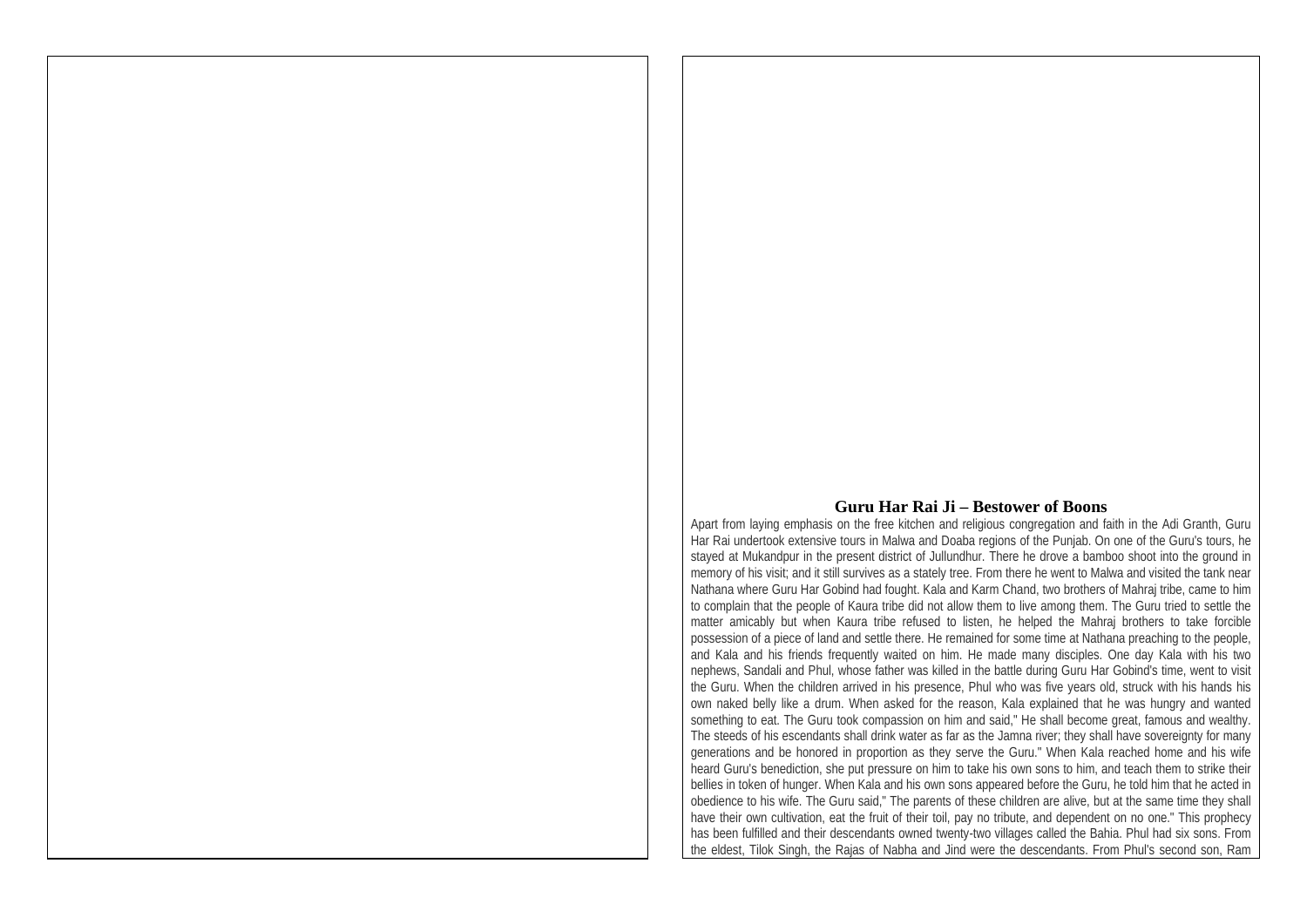### **Guru Har Rai Ji – Bestower of Boons**

Apart from laying emphasis on the free kitchen and religious congregation and faith in the Adi Granth, Guru Har Rai undertook extensive tours in Malwa and Doaba regions of the Punjab. On one of the Guru's tours, he stayed at Mukandpur in the present district of Jullundhur. There he drove a bamboo shoot into the ground in memory of his visit; and it still survives as a stately tree. From there he went to Malwa and visited the tank near Nathana where Guru Har Gobind had fought. Kala and Karm Chand, two brothers of Mahraj tribe, came to him to complain that the people of Kaura tribe did not allow them to live among them. The Guru tried to settle the matter amicably but when Kaura tribe refused to listen, he helped the Mahraj brothers to take forcible possession of a piece of land and settle there. He remained for some time at Nathana preaching to the people, and Kala and his friends frequently waited on him. He made many disciples. One day Kala with his two nephews, Sandali and Phul, whose father was killed in the battle during Guru Har Gobind's time, went to visit the Guru. When the children arrived in his presence, Phul who was five years old, struck with his hands his own naked belly like a drum. When asked for the reason, Kala explained that he was hungry and wanted something to eat. The Guru took compassion on him and said," He shall become great, famous and wealthy. The steeds of his escendants shall drink water as far as the Jamna river; they shall have sovereignty for many generations and be honored in proportion as they serve the Guru." When Kala reached home and his wife heard Guru's benediction, she put pressure on him to take his own sons to him, and teach them to strike their bellies in token of hunger. When Kala and his own sons appeared before the Guru, he told him that he acted in obedience to his wife. The Guru said," The parents of these children are alive, but at the same time they shall have their own cultivation, eat the fruit of their toil, pay no tribute, and dependent on no one." This prophecy has been fulfilled and their descendants owned twenty-two villages called the Bahia. Phul had six sons. From the eldest, Tilok Singh, the Rajas of Nabha and Jind were the descendants. From Phul's second son, Ram